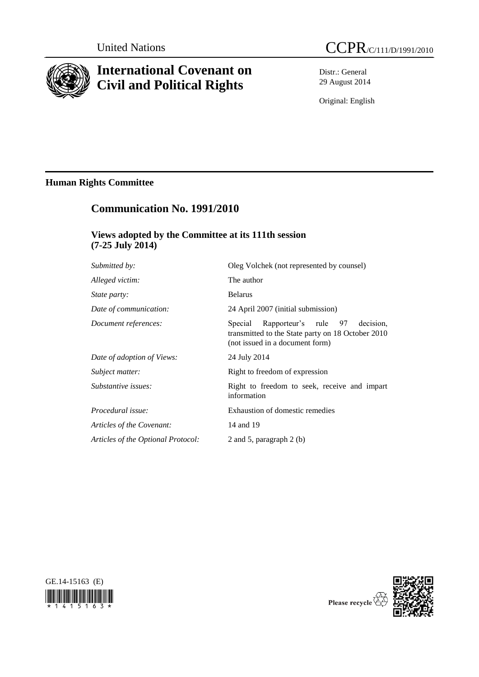

# **International Covenant on Civil and Political Rights**

Distr.: General 29 August 2014

Original: English

## **Human Rights Committee**

# **Communication No. 1991/2010**

### **Views adopted by the Committee at its 111th session (7-25 July 2014)**

| Submitted by:                      | Oleg Volchek (not represented by counsel)                                                                                            |
|------------------------------------|--------------------------------------------------------------------------------------------------------------------------------------|
| Alleged victim:                    | The author                                                                                                                           |
| <i>State party:</i>                | <b>Belarus</b>                                                                                                                       |
| Date of communication:             | 24 April 2007 (initial submission)                                                                                                   |
| Document references:               | Rapporteur's rule 97<br>decision.<br>Special<br>transmitted to the State party on 18 October 2010<br>(not issued in a document form) |
| Date of adoption of Views:         | 24 July 2014                                                                                                                         |
| Subject matter:                    | Right to freedom of expression                                                                                                       |
| Substantive issues:                | Right to freedom to seek, receive and impart<br>information                                                                          |
| Procedural issue:                  | Exhaustion of domestic remedies                                                                                                      |
| Articles of the Covenant:          | 14 and 19                                                                                                                            |
| Articles of the Optional Protocol: | 2 and 5, paragraph $2$ (b)                                                                                                           |



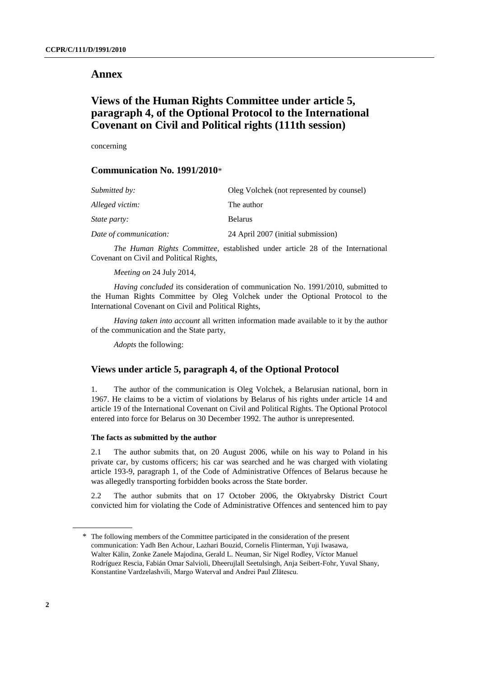#### **Annex**

### **Views of the Human Rights Committee under article 5, paragraph 4, of the Optional Protocol to the International Covenant on Civil and Political rights (111th session)**

concerning

#### **Communication No. 1991/2010**\*

| Submitted by:          | Oleg Volchek (not represented by counsel) |
|------------------------|-------------------------------------------|
| Alleged victim:        | The author                                |
| <i>State party:</i>    | <b>Belarus</b>                            |
| Date of communication: | 24 April 2007 (initial submission)        |

*The Human Rights Committee*, established under article 28 of the International Covenant on Civil and Political Rights,

*Meeting on* 24 July 2014,

*Having concluded* its consideration of communication No. 1991/2010, submitted to the Human Rights Committee by Oleg Volchek under the Optional Protocol to the International Covenant on Civil and Political Rights,

*Having taken into account* all written information made available to it by the author of the communication and the State party,

*Adopts* the following:

#### **Views under article 5, paragraph 4, of the Optional Protocol**

1. The author of the communication is Oleg Volchek, a Belarusian national, born in 1967. He claims to be a victim of violations by Belarus of his rights under article 14 and article 19 of the International Covenant on Civil and Political Rights. The Optional Protocol entered into force for Belarus on 30 December 1992. The author is unrepresented.

#### **The facts as submitted by the author**

2.1 The author submits that, on 20 August 2006, while on his way to Poland in his private car, by customs officers; his car was searched and he was charged with violating article 193-9, paragraph 1, of the Code of Administrative Offences of Belarus because he was allegedly transporting forbidden books across the State border.

2.2 The author submits that on 17 October 2006, the Oktyabrsky District Court convicted him for violating the Code of Administrative Offences and sentenced him to pay

<sup>\*</sup> The following members of the Committee participated in the consideration of the present communication: Yadh Ben Achour, Lazhari Bouzid, Cornelis Flinterman, Yuji Iwasawa, Walter Kälin, Zonke Zanele Majodina, Gerald L. Neuman, Sir Nigel Rodley, Víctor Manuel Rodríguez Rescia, Fabián Omar Salvioli, Dheerujlall Seetulsingh, Anja Seibert-Fohr, Yuval Shany, Konstantine Vardzelashvili, Margo Waterval and Andrei Paul Zlătescu.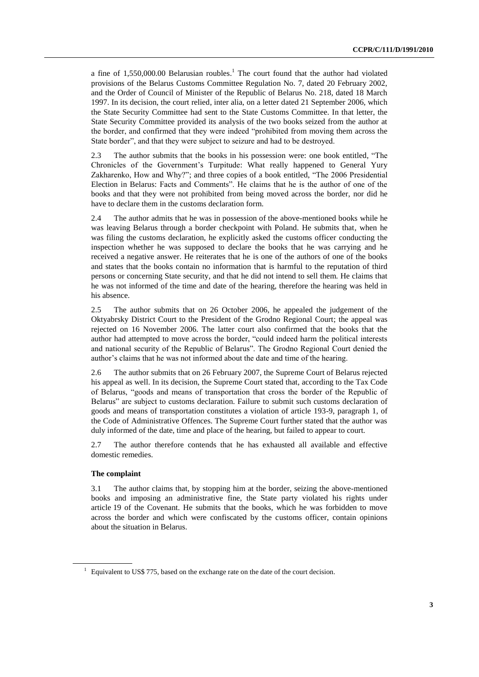a fine of  $1,550,000.00$  Belarusian roubles.<sup>1</sup> The court found that the author had violated provisions of the Belarus Customs Committee Regulation No. 7, dated 20 February 2002, and the Order of Council of Minister of the Republic of Belarus No. 218, dated 18 March 1997. In its decision, the court relied, inter alia, on a letter dated 21 September 2006, which the State Security Committee had sent to the State Customs Committee. In that letter, the State Security Committee provided its analysis of the two books seized from the author at the border, and confirmed that they were indeed "prohibited from moving them across the State border", and that they were subject to seizure and had to be destroyed.

2.3 The author submits that the books in his possession were: one book entitled, "The Chronicles of the Government's Turpitude: What really happened to General Yury Zakharenko, How and Why?"; and three copies of a book entitled, "The 2006 Presidential Election in Belarus: Facts and Comments". He claims that he is the author of one of the books and that they were not prohibited from being moved across the border, nor did he have to declare them in the customs declaration form.

2.4 The author admits that he was in possession of the above-mentioned books while he was leaving Belarus through a border checkpoint with Poland. He submits that, when he was filing the customs declaration, he explicitly asked the customs officer conducting the inspection whether he was supposed to declare the books that he was carrying and he received a negative answer. He reiterates that he is one of the authors of one of the books and states that the books contain no information that is harmful to the reputation of third persons or concerning State security, and that he did not intend to sell them. He claims that he was not informed of the time and date of the hearing, therefore the hearing was held in his absence.

2.5 The author submits that on 26 October 2006, he appealed the judgement of the Oktyabrsky District Court to the President of the Grodno Regional Court; the appeal was rejected on 16 November 2006. The latter court also confirmed that the books that the author had attempted to move across the border, "could indeed harm the political interests and national security of the Republic of Belarus". The Grodno Regional Court denied the author's claims that he was not informed about the date and time of the hearing.

2.6 The author submits that on 26 February 2007, the Supreme Court of Belarus rejected his appeal as well. In its decision, the Supreme Court stated that, according to the Tax Code of Belarus, "goods and means of transportation that cross the border of the Republic of Belarus" are subject to customs declaration. Failure to submit such customs declaration of goods and means of transportation constitutes a violation of article 193-9, paragraph 1, of the Code of Administrative Offences. The Supreme Court further stated that the author was duly informed of the date, time and place of the hearing, but failed to appear to court.

2.7 The author therefore contends that he has exhausted all available and effective domestic remedies.

#### **The complaint**

3.1 The author claims that, by stopping him at the border, seizing the above-mentioned books and imposing an administrative fine, the State party violated his rights under article 19 of the Covenant. He submits that the books, which he was forbidden to move across the border and which were confiscated by the customs officer, contain opinions about the situation in Belarus.

 $1$  Equivalent to US\$ 775, based on the exchange rate on the date of the court decision.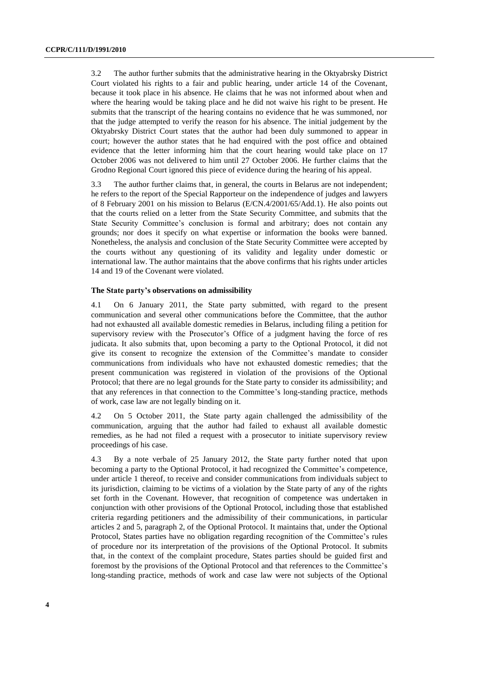3.2 The author further submits that the administrative hearing in the Oktyabrsky District Court violated his rights to a fair and public hearing, under article 14 of the Covenant, because it took place in his absence. He claims that he was not informed about when and where the hearing would be taking place and he did not waive his right to be present. He submits that the transcript of the hearing contains no evidence that he was summoned, nor that the judge attempted to verify the reason for his absence. The initial judgement by the Oktyabrsky District Court states that the author had been duly summoned to appear in court; however the author states that he had enquired with the post office and obtained evidence that the letter informing him that the court hearing would take place on 17 October 2006 was not delivered to him until 27 October 2006. He further claims that the Grodno Regional Court ignored this piece of evidence during the hearing of his appeal.

3.3 The author further claims that, in general, the courts in Belarus are not independent; he refers to the report of the Special Rapporteur on the independence of judges and lawyers of 8 February 2001 on his mission to Belarus (E/CN.4/2001/65/Add.1). He also points out that the courts relied on a letter from the State Security Committee, and submits that the State Security Committee's conclusion is formal and arbitrary; does not contain any grounds; nor does it specify on what expertise or information the books were banned. Nonetheless, the analysis and conclusion of the State Security Committee were accepted by the courts without any questioning of its validity and legality under domestic or international law. The author maintains that the above confirms that his rights under articles 14 and 19 of the Covenant were violated.

#### **The State party's observations on admissibility**

4.1 On 6 January 2011, the State party submitted, with regard to the present communication and several other communications before the Committee, that the author had not exhausted all available domestic remedies in Belarus, including filing a petition for supervisory review with the Prosecutor's Office of a judgment having the force of res judicata. It also submits that, upon becoming a party to the Optional Protocol, it did not give its consent to recognize the extension of the Committee's mandate to consider communications from individuals who have not exhausted domestic remedies; that the present communication was registered in violation of the provisions of the Optional Protocol; that there are no legal grounds for the State party to consider its admissibility; and that any references in that connection to the Committee's long-standing practice, methods of work, case law are not legally binding on it.

4.2 On 5 October 2011, the State party again challenged the admissibility of the communication, arguing that the author had failed to exhaust all available domestic remedies, as he had not filed a request with a prosecutor to initiate supervisory review proceedings of his case.

4.3 By a note verbale of 25 January 2012, the State party further noted that upon becoming a party to the Optional Protocol, it had recognized the Committee's competence, under article 1 thereof, to receive and consider communications from individuals subject to its jurisdiction, claiming to be victims of a violation by the State party of any of the rights set forth in the Covenant. However, that recognition of competence was undertaken in conjunction with other provisions of the Optional Protocol, including those that established criteria regarding petitioners and the admissibility of their communications, in particular articles 2 and 5, paragraph 2, of the Optional Protocol. It maintains that, under the Optional Protocol, States parties have no obligation regarding recognition of the Committee's rules of procedure nor its interpretation of the provisions of the Optional Protocol. It submits that, in the context of the complaint procedure, States parties should be guided first and foremost by the provisions of the Optional Protocol and that references to the Committee's long-standing practice, methods of work and case law were not subjects of the Optional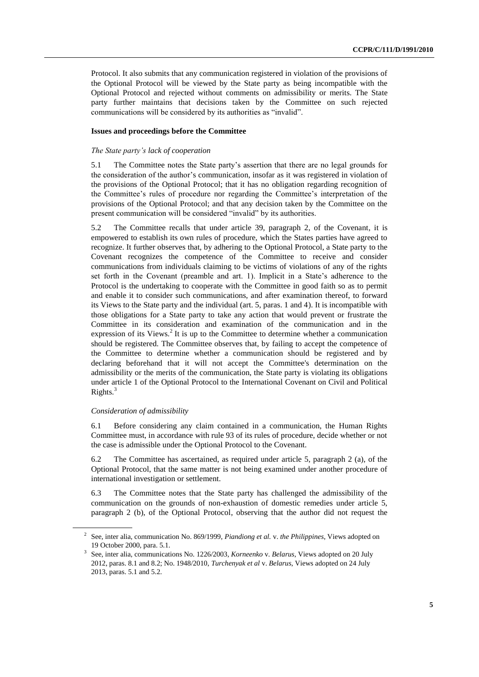Protocol. It also submits that any communication registered in violation of the provisions of the Optional Protocol will be viewed by the State party as being incompatible with the Optional Protocol and rejected without comments on admissibility or merits. The State party further maintains that decisions taken by the Committee on such rejected communications will be considered by its authorities as "invalid".

#### **Issues and proceedings before the Committee**

#### *The State party's lack of cooperation*

5.1 The Committee notes the State party's assertion that there are no legal grounds for the consideration of the author's communication, insofar as it was registered in violation of the provisions of the Optional Protocol; that it has no obligation regarding recognition of the Committee's rules of procedure nor regarding the Committee's interpretation of the provisions of the Optional Protocol; and that any decision taken by the Committee on the present communication will be considered "invalid" by its authorities.

5.2 The Committee recalls that under article 39, paragraph 2, of the Covenant, it is empowered to establish its own rules of procedure, which the States parties have agreed to recognize. It further observes that, by adhering to the Optional Protocol, a State party to the Covenant recognizes the competence of the Committee to receive and consider communications from individuals claiming to be victims of violations of any of the rights set forth in the Covenant (preamble and art. 1). Implicit in a State's adherence to the Protocol is the undertaking to cooperate with the Committee in good faith so as to permit and enable it to consider such communications, and after examination thereof, to forward its Views to the State party and the individual (art. 5, paras. 1 and 4). It is incompatible with those obligations for a State party to take any action that would prevent or frustrate the Committee in its consideration and examination of the communication and in the expression of its Views.<sup>2</sup> It is up to the Committee to determine whether a communication should be registered. The Committee observes that, by failing to accept the competence of the Committee to determine whether a communication should be registered and by declaring beforehand that it will not accept the Committee's determination on the admissibility or the merits of the communication, the State party is violating its obligations under article 1 of the Optional Protocol to the International Covenant on Civil and Political Rights.<sup>3</sup>

#### *Consideration of admissibility*

6.1 Before considering any claim contained in a communication, the Human Rights Committee must, in accordance with rule 93 of its rules of procedure, decide whether or not the case is admissible under the Optional Protocol to the Covenant.

6.2 The Committee has ascertained, as required under article 5, paragraph 2 (a), of the Optional Protocol, that the same matter is not being examined under another procedure of international investigation or settlement.

6.3 The Committee notes that the State party has challenged the admissibility of the communication on the grounds of non-exhaustion of domestic remedies under article 5, paragraph 2 (b), of the Optional Protocol, observing that the author did not request the

<sup>2</sup> See, inter alia, communication No. 869/1999, *Piandiong et al.* v. *the Philippines*, Views adopted on 19 October 2000, para. 5.1.

<sup>3</sup> See, inter alia, communications No. 1226/2003, *Korneenko* v. *Belarus*, Views adopted on 20 July 2012, paras. 8.1 and 8.2; No. 1948/2010, *Turchenyak et al* v. *Belarus*, Views adopted on 24 July 2013, paras. 5.1 and 5.2.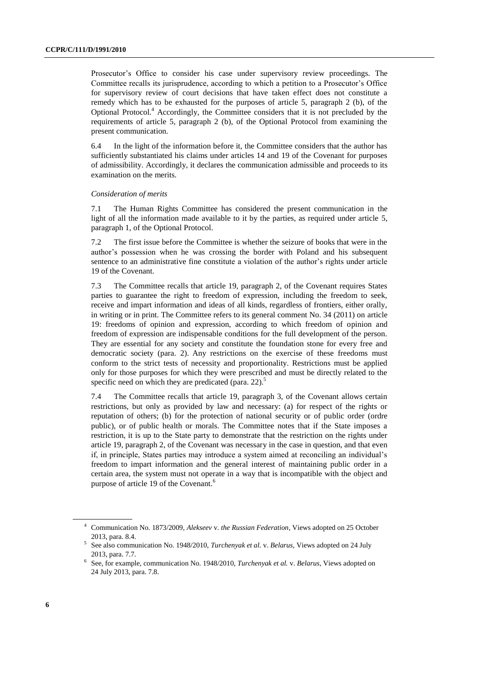Prosecutor's Office to consider his case under supervisory review proceedings. The Committee recalls its jurisprudence, according to which a petition to a Prosecutor's Office for supervisory review of court decisions that have taken effect does not constitute a remedy which has to be exhausted for the purposes of article 5, paragraph 2 (b), of the Optional Protocol.<sup>4</sup> Accordingly, the Committee considers that it is not precluded by the requirements of article 5, paragraph 2 (b), of the Optional Protocol from examining the present communication.

6.4 In the light of the information before it, the Committee considers that the author has sufficiently substantiated his claims under articles 14 and 19 of the Covenant for purposes of admissibility. Accordingly, it declares the communication admissible and proceeds to its examination on the merits.

#### *Consideration of merits*

7.1 The Human Rights Committee has considered the present communication in the light of all the information made available to it by the parties, as required under article 5. paragraph 1, of the Optional Protocol.

7.2 The first issue before the Committee is whether the seizure of books that were in the author's possession when he was crossing the border with Poland and his subsequent sentence to an administrative fine constitute a violation of the author's rights under article 19 of the Covenant.

7.3 The Committee recalls that article 19, paragraph 2, of the Covenant requires States parties to guarantee the right to freedom of expression, including the freedom to seek, receive and impart information and ideas of all kinds, regardless of frontiers, either orally, in writing or in print. The Committee refers to its general comment No. 34 (2011) on article 19: freedoms of opinion and expression, according to which freedom of opinion and freedom of expression are indispensable conditions for the full development of the person. They are essential for any society and constitute the foundation stone for every free and democratic society (para. 2). Any restrictions on the exercise of these freedoms must conform to the strict tests of necessity and proportionality. Restrictions must be applied only for those purposes for which they were prescribed and must be directly related to the specific need on which they are predicated (para. 22).<sup>5</sup>

7.4 The Committee recalls that article 19, paragraph 3, of the Covenant allows certain restrictions, but only as provided by law and necessary: (a) for respect of the rights or reputation of others; (b) for the protection of national security or of public order (ordre public), or of public health or morals. The Committee notes that if the State imposes a restriction, it is up to the State party to demonstrate that the restriction on the rights under article 19, paragraph 2, of the Covenant was necessary in the case in question, and that even if, in principle, States parties may introduce a system aimed at reconciling an individual's freedom to impart information and the general interest of maintaining public order in a certain area, the system must not operate in a way that is incompatible with the object and purpose of article 19 of the Covenant.<sup>6</sup>

<sup>4</sup> Communication No. 1873/2009, *Alekseev* v. *the Russian Federation*, Views adopted on 25 October 2013, para. 8.4.

<sup>5</sup> See also communication No. 1948/2010, *Turchenyak et al.* v. *Belarus*, Views adopted on 24 July 2013, para. 7.7.

<sup>6</sup> See, for example, communication No. 1948/2010, *Turchenyak et al.* v. *Belarus*, Views adopted on 24 July 2013, para. 7.8.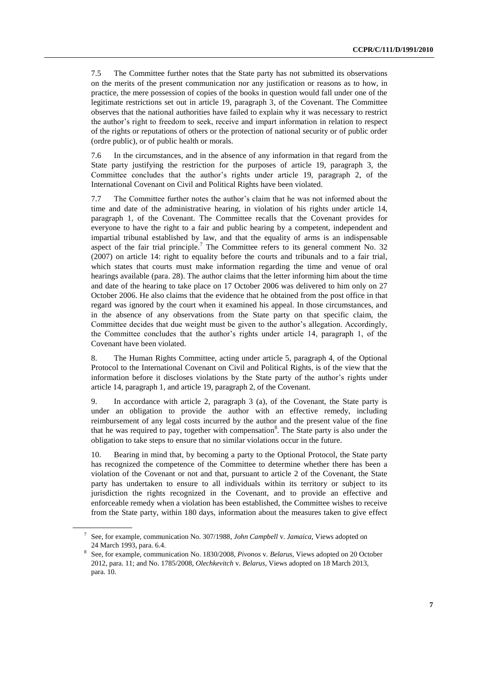7.5 The Committee further notes that the State party has not submitted its observations on the merits of the present communication nor any justification or reasons as to how, in practice, the mere possession of copies of the books in question would fall under one of the legitimate restrictions set out in article 19, paragraph 3, of the Covenant. The Committee observes that the national authorities have failed to explain why it was necessary to restrict the author's right to freedom to seek, receive and impart information in relation to respect of the rights or reputations of others or the protection of national security or of public order (ordre public), or of public health or morals.

7.6 In the circumstances, and in the absence of any information in that regard from the State party justifying the restriction for the purposes of article 19, paragraph 3, the Committee concludes that the author's rights under article 19, paragraph 2, of the International Covenant on Civil and Political Rights have been violated.

7.7 The Committee further notes the author's claim that he was not informed about the time and date of the administrative hearing, in violation of his rights under article 14, paragraph 1, of the Covenant. The Committee recalls that the Covenant provides for everyone to have the right to a fair and public hearing by a competent, independent and impartial tribunal established by law, and that the equality of arms is an indispensable aspect of the fair trial principle.<sup>7</sup> The Committee refers to its general comment No. 32 (2007) on article 14: right to equality before the courts and tribunals and to a fair trial, which states that courts must make information regarding the time and venue of oral hearings available (para. 28). The author claims that the letter informing him about the time and date of the hearing to take place on 17 October 2006 was delivered to him only on 27 October 2006. He also claims that the evidence that he obtained from the post office in that regard was ignored by the court when it examined his appeal. In those circumstances, and in the absence of any observations from the State party on that specific claim, the Committee decides that due weight must be given to the author's allegation. Accordingly, the Committee concludes that the author's rights under article 14, paragraph 1, of the Covenant have been violated.

8. The Human Rights Committee, acting under article 5, paragraph 4, of the Optional Protocol to the International Covenant on Civil and Political Rights, is of the view that the information before it discloses violations by the State party of the author's rights under article 14, paragraph 1, and article 19, paragraph 2, of the Covenant.

9. In accordance with article 2, paragraph 3 (a), of the Covenant, the State party is under an obligation to provide the author with an effective remedy, including reimbursement of any legal costs incurred by the author and the present value of the fine that he was required to pay, together with compensation<sup>8</sup>. The State party is also under the obligation to take steps to ensure that no similar violations occur in the future.

10. Bearing in mind that, by becoming a party to the Optional Protocol, the State party has recognized the competence of the Committee to determine whether there has been a violation of the Covenant or not and that, pursuant to article 2 of the Covenant, the State party has undertaken to ensure to all individuals within its territory or subject to its jurisdiction the rights recognized in the Covenant, and to provide an effective and enforceable remedy when a violation has been established, the Committee wishes to receive from the State party, within 180 days, information about the measures taken to give effect

<sup>7</sup> See, for example, communication No. 307/1988*, John Campbell* v. *Jamaica*, Views adopted on 24 March 1993, para. 6.4.

<sup>8</sup> See, for example, communication No. 1830/2008, *Pivonos* v*. Belarus*, Views adopted on 20 October 2012, para. 11; and No. 1785/2008, *Olechkevitch* v. *Belarus*, Views adopted on 18 March 2013, para. 10.